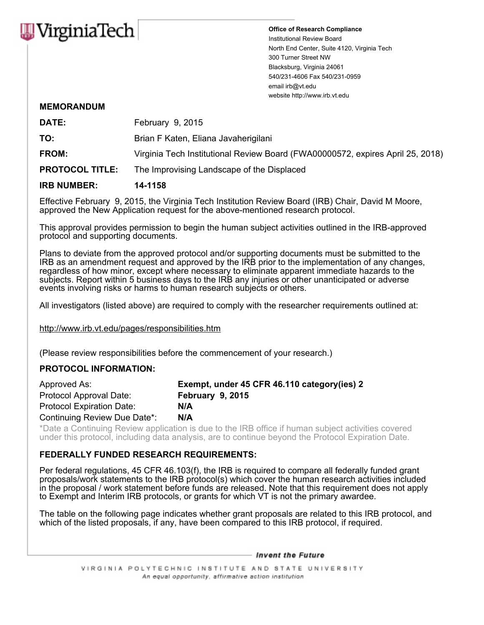

Office of Research Compliance Institutional Review Board North End Center, Suite 4120, Virginia Tech 300 Turner Street NW Blacksburg, Virginia 24061 540/231-4606 Fax 540/231-0959 email irb@vt.edu website http://www.irb.vt.edu

## MEMORANDUM

| <b>IRB NUMBER:</b>     | 14-1158                                                                        |
|------------------------|--------------------------------------------------------------------------------|
| <b>PROTOCOL TITLE:</b> | The Improvising Landscape of the Displaced                                     |
| <b>FROM:</b>           | Virginia Tech Institutional Review Board (FWA00000572, expires April 25, 2018) |
| TO:                    | Brian F Katen, Eliana Javaherigilani                                           |
| DATE:                  | February 9, 2015                                                               |

Effective February 9, 2015, the Virginia Tech Institution Review Board (IRB) Chair, David M Moore, approved the New Application request for the above-mentioned research protocol.

This approval provides permission to begin the human subject activities outlined in the IRB-approved protocol and supporting documents.

Plans to deviate from the approved protocol and/or supporting documents must be submitted to the IRB as an amendment request and approved by the IRB prior to the implementation of any changes, regardless of how minor, except where necessary to eliminate apparent immediate hazards to the subjects. Report within 5 business days to the IRB any injuries or other unanticipated or adverse events involving risks or harms to human research subjects or others.

All investigators (listed above) are required to comply with the researcher requirements outlined at:

http://www.irb.vt.edu/pages/responsibilities.htm

(Please review responsibilities before the commencement of your research.)

## PROTOCOL INFORMATION:

| Approved As:                     | Exempt, under 45 CFR 46.110 category (ies) 2 |
|----------------------------------|----------------------------------------------|
| Protocol Approval Date:          | <b>February 9, 2015</b>                      |
| <b>Protocol Expiration Date:</b> | N/A                                          |
| Continuing Review Due Date*:     | N/A                                          |

\*Date a Continuing Review application is due to the IRB office if human subject activities covered under this protocol, including data analysis, are to continue beyond the Protocol Expiration Date.

## FEDERALLY FUNDED RESEARCH REQUIREMENTS:

Per federal regulations, 45 CFR 46.103(f), the IRB is required to compare all federally funded grant proposals/work statements to the IRB protocol(s) which cover the human research activities included in the proposal / work statement before funds are released. Note that this requirement does not apply to Exempt and Interim IRB protocols, or grants for which VT is not the primary awardee.

The table on the following page indicates whether grant proposals are related to this IRB protocol, and which of the listed proposals, if any, have been compared to this IRB protocol, if required.

- Invent the Future